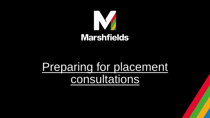

# Preparing for placement consultations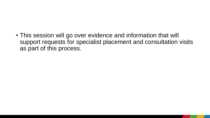• This session will go over evidence and information that will support requests for specialist placement and consultation visits as part of this process.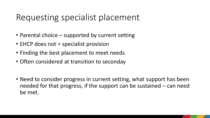### Requesting specialist placement

- Parental choice supported by current setting
- EHCP does not = specialist provision
- Finding the best placement to meet needs
- Often considered at transition to seconday
- Need to consider progress in current setting, what support has been needed for that progress, if the support can be sustained – can need be met.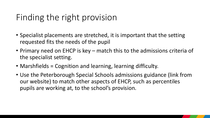## Finding the right provision

- Specialist placements are stretched, it is important that the setting requested fits the needs of the pupil
- Primary need on EHCP is key match this to the admissions criteria of the specialist setting.
- Marshfields = Cognition and learning, learning difficulty.
- Use the Peterborough Special Schools admissions guidance (link from our website) to match other aspects of EHCP, such as percentiles pupils are working at, to the school's provision.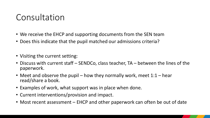#### Consultation

- We receive the EHCP and supporting documents from the SEN team
- Does this indicate that the pupil matched our admissions criteria?
- Visiting the current setting:
- Discuss with current staff SENDCo, class teacher, TA between the lines of the paperwork.
- Meet and observe the pupil how they normally work, meet  $1:1$  hear read/share a book.
- Examples of work, what support was in place when done.
- Current interventions/provision and impact.
- Most recent assessment EHCP and other paperwork can often be out of date